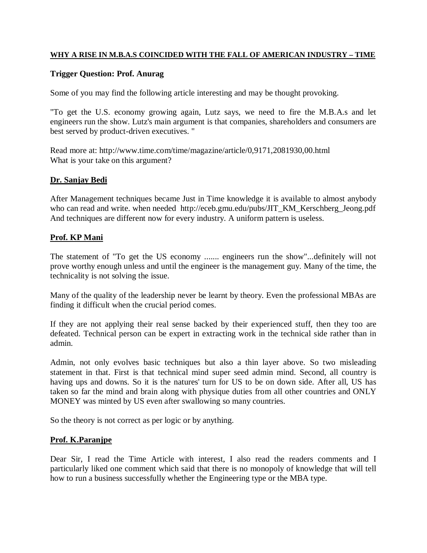#### **WHY A RISE IN M.B.A.S COINCIDED WITH THE FALL OF AMERICAN INDUSTRY – TIME**

#### **Trigger Question: Prof. Anurag**

Some of you may find the following article interesting and may be thought provoking.

"To get the U.S. economy growing again, Lutz says, we need to fire the M.B.A.s and let engineers run the show. Lutz's main argument is that companies, shareholders and consumers are best served by product-driven executives. "

Read more at: http://www.time.com/time/magazine/article/0,9171,2081930,00.html What is your take on this argument?

## **Dr. Sanjay Bedi**

After Management techniques became Just in Time knowledge it is available to almost anybody who can read and write. when needed http://eceb.gmu.edu/pubs/JIT\_KM\_Kerschberg\_Jeong.pdf And techniques are different now for every industry. A uniform pattern is useless.

## **Prof. KP Mani**

The statement of "To get the US economy ....... engineers run the show"...definitely will not prove worthy enough unless and until the engineer is the management guy. Many of the time, the technicality is not solving the issue.

Many of the quality of the leadership never be learnt by theory. Even the professional MBAs are finding it difficult when the crucial period comes.

If they are not applying their real sense backed by their experienced stuff, then they too are defeated. Technical person can be expert in extracting work in the technical side rather than in admin.

Admin, not only evolves basic techniques but also a thin layer above. So two misleading statement in that. First is that technical mind super seed admin mind. Second, all country is having ups and downs. So it is the natures' turn for US to be on down side. After all, US has taken so far the mind and brain along with physique duties from all other countries and ONLY MONEY was minted by US even after swallowing so many countries.

So the theory is not correct as per logic or by anything.

# **Prof. K.Paranjpe**

Dear Sir, I read the Time Article with interest, I also read the readers comments and I particularly liked one comment which said that there is no monopoly of knowledge that will tell how to run a business successfully whether the Engineering type or the MBA type.